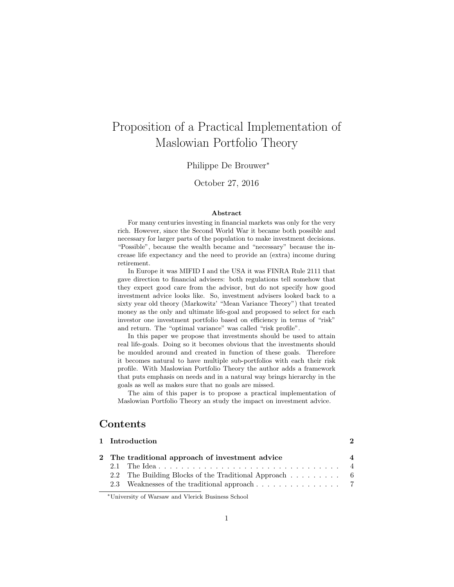# Proposition of a Practical Implementation of Maslowian Portfolio Theory

Philippe De Brouwer<sup>∗</sup>

October 27, 2016

#### Abstract

For many centuries investing in financial markets was only for the very rich. However, since the Second World War it became both possible and necessary for larger parts of the population to make investment decisions. "Possible", because the wealth became and "necessary" because the increase life expectancy and the need to provide an (extra) income during retirement.

In Europe it was MIFID I and the USA it was FINRA Rule 2111 that gave direction to financial advisers: both regulations tell somehow that they expect good care from the advisor, but do not specify how good investment advice looks like. So, investment advisers looked back to a sixty year old theory (Markowitz' "Mean Variance Theory") that treated money as the only and ultimate life-goal and proposed to select for each investor one investment portfolio based on efficiency in terms of "risk" and return. The "optimal variance" was called "risk profile".

In this paper we propose that investments should be used to attain real life-goals. Doing so it becomes obvious that the investments should be moulded around and created in function of these goals. Therefore it becomes natural to have multiple sub-portfolios with each their risk profile. With Maslowian Portfolio Theory the author adds a framework that puts emphasis on needs and in a natural way brings hierarchy in the goals as well as makes sure that no goals are missed.

The aim of this paper is to propose a practical implementation of Maslowian Portfolio Theory an study the impact on investment advice.

# Contents

|  | 2 The traditional approach of investment advice        | 4 |
|--|--------------------------------------------------------|---|
|  |                                                        |   |
|  | 2.2 The Building Blocks of the Traditional Approach  6 |   |
|  |                                                        |   |

[1 Introduction](#page-1-0) 2

<sup>∗</sup>University of Warsaw and Vlerick Business School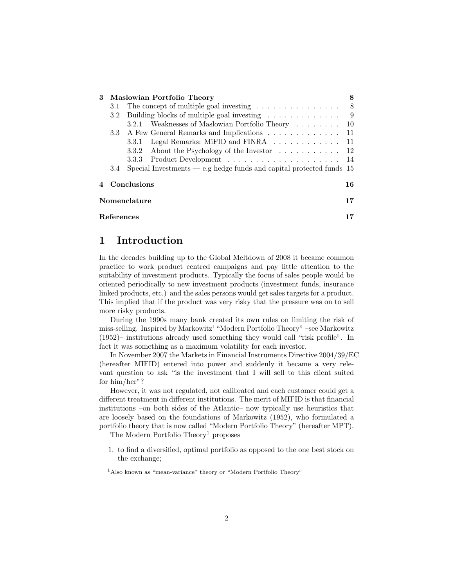<span id="page-1-2"></span>

|                                                                             |                  | 3 Maslowian Portfolio Theory                                                  |     |  |  |  |  |
|-----------------------------------------------------------------------------|------------------|-------------------------------------------------------------------------------|-----|--|--|--|--|
|                                                                             | 3.1              | The concept of multiple goal investing $\ldots \ldots \ldots \ldots \ldots$ 8 |     |  |  |  |  |
| Building blocks of multiple goal investing $\dots \dots \dots \dots$<br>3.2 |                  |                                                                               |     |  |  |  |  |
|                                                                             |                  | Weaknesses of Maslowian Portfolio Theory<br>3.2.1                             | -10 |  |  |  |  |
|                                                                             | 3.3 <sub>z</sub> | A Few General Remarks and Implications 11                                     |     |  |  |  |  |
|                                                                             |                  | Legal Remarks: MiFID and FINRA 11<br>3.3.1                                    |     |  |  |  |  |
|                                                                             |                  | 3.3.2 About the Psychology of the Investor $\dots \dots \dots \dots$ 12       |     |  |  |  |  |
|                                                                             |                  |                                                                               |     |  |  |  |  |
|                                                                             | 3.4              | Special Investments — e.g hedge funds and capital protected funds $15$        |     |  |  |  |  |
|                                                                             | Conclusions      |                                                                               |     |  |  |  |  |
|                                                                             | Nomenclature     |                                                                               |     |  |  |  |  |
|                                                                             | References       |                                                                               |     |  |  |  |  |

# <span id="page-1-0"></span>1 Introduction

In the decades building up to the Global Meltdown of 2008 it became common practice to work product centred campaigns and pay little attention to the suitability of investment products. Typically the focus of sales people would be oriented periodically to new investment products (investment funds, insurance linked products, etc.) and the sales persons would get sales targets for a product. This implied that if the product was very risky that the pressure was on to sell more risky products.

During the 1990s many bank created its own rules on limiting the risk of miss-selling. Inspired by Markowitz' "Modern Portfolio Theory" –see [Markowitz](#page-17-0) [\(1952\)](#page-17-0)– institutions already used something they would call "risk profile". In fact it was something as a maximum volatility for each investor.

In November 2007 the Markets in Financial Instruments Directive 2004/39/EC (hereafter MIFID) entered into power and suddenly it became a very relevant question to ask "is the investment that I will sell to this client suited for him/her"?

However, it was not regulated, not calibrated and each customer could get a different treatment in different institutions. The merit of MIFID is that financial institutions –on both sides of the Atlantic– now typically use heuristics that are loosely based on the foundations of [Markowitz](#page-17-0) [\(1952\)](#page-17-0), who formulated a portfolio theory that is now called "Modern Portfolio Theory" (hereafter MPT).

The Modern Portfolio Theory<sup>[1](#page-1-1)</sup> proposes

1. to find a diversified, optimal portfolio as opposed to the one best stock on the exchange;

<span id="page-1-1"></span><sup>1</sup>Also known as "mean-variance" theory or "Modern Portfolio Theory"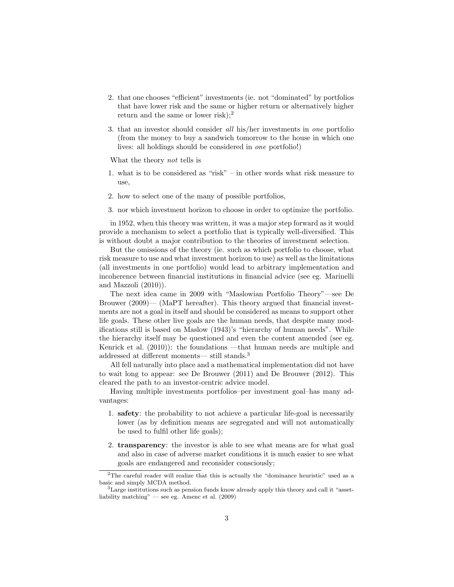- <span id="page-2-2"></span>2. that one chooses "efficient" investments (ie. not "dominated" by portfolios that have lower risk and the same or higher return or alternatively higher return and the same or lower risk);<sup>[2](#page-2-0)</sup>
- 3. that an investor should consider all his/her investments in one portfolio (from the money to buy a sandwich tomorrow to the house in which one lives: all holdings should be considered in one portfolio!)

What the theory not tells is

- 1. what is to be considered as "risk" in other words what risk measure to use,
- 2. how to select one of the many of possible portfolios,
- 3. nor which investment horizon to choose in order to optimize the portfolio.

in 1952, when this theory was written, it was a major step forward as it would provide a mechanism to select a portfolio that is typically well-diversified. This is without doubt a major contribution to the theories of investment selection.

But the omissions of the theory (ie. such as which portfolio to choose, what risk measure to use and what investment horizon to use) as well as the limitations (all investments in one portfolio) would lead to arbitrary implementation and incoherence between financial institutions in financial advice (see eg. [Marinelli](#page-17-1) [and Mazzoli](#page-17-1) [\(2010\)](#page-17-1)).

The next idea came in 2009 with "Maslowian Portfolio Theory"—see [De](#page-17-2) [Brouwer](#page-17-2) [\(2009\)](#page-17-2)— (MaPT hereafter). This theory argued that financial investments are not a goal in itself and should be considered as means to support other life goals. These other live goals are the human needs, that despite many modifications still is based on [Maslow](#page-17-3) [\(1943\)](#page-17-3)'s "hierarchy of human needs". While the hierarchy itself may be questioned and even the content amended (see eg. [Kenrick et al.](#page-17-4) [\(2010\)](#page-17-4)): the foundations —that human needs are multiple and addressed at different moments— still stands.[3](#page-2-1)

All fell naturally into place and a mathematical implementation did not have to wait long to appear: see [De Brouwer](#page-17-5) [\(2011\)](#page-17-5) and [De Brouwer](#page-17-6) [\(2012\)](#page-17-6). This cleared the path to an investor-centric advice model.

Having multiple investments portfolios–per investment goal–has many advantages:

- 1. safety: the probability to not achieve a particular life-goal is necessarily lower (as by definition means are segregated and will not automatically be used to fulfil other life goals);
- 2. transparency: the investor is able to see what means are for what goal and also in case of adverse market conditions it is much easier to see what goals are endangered and reconsider consciously;

<span id="page-2-0"></span><sup>2</sup>The careful reader will realize that this is actually the "dominance heuristic" used as a basic and simply MCDA method.

<span id="page-2-1"></span> $3$ Large institutions such as pension funds know already apply this theory and call it "assetliability matching" — see eg. [Amenc et al.](#page-16-2) [\(2009\)](#page-16-2)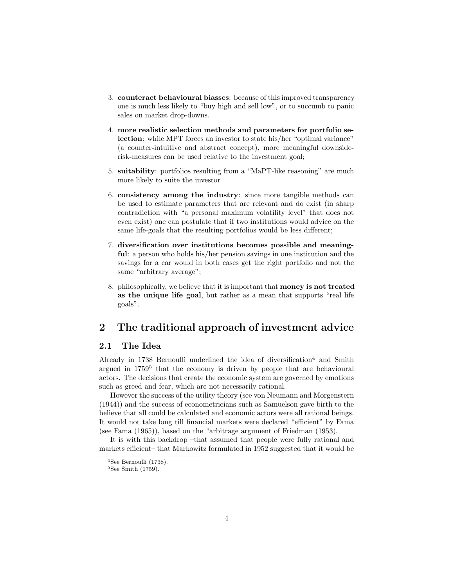- <span id="page-3-4"></span>3. counteract behavioural biasses: because of this improved transparency one is much less likely to "buy high and sell low", or to succumb to panic sales on market drop-downs.
- 4. more realistic selection methods and parameters for portfolio selection: while MPT forces an investor to state his/her "optimal variance" (a counter-intuitive and abstract concept), more meaningful downsiderisk-measures can be used relative to the investment goal;
- 5. suitability: portfolios resulting from a "MaPT-like reasoning" are much more likely to suite the investor
- 6. consistency among the industry: since more tangible methods can be used to estimate parameters that are relevant and do exist (in sharp contradiction with "a personal maximum volatility level" that does not even exist) one can postulate that if two institutions would advice on the same life-goals that the resulting portfolios would be less different;
- 7. diversification over institutions becomes possible and meaningful: a person who holds his/her pension savings in one institution and the savings for a car would in both cases get the right portfolio and not the same "arbitrary average";
- 8. philosophically, we believe that it is important that money is not treated as the unique life goal, but rather as a mean that supports "real life goals".

# <span id="page-3-0"></span>2 The traditional approach of investment advice

#### <span id="page-3-1"></span>2.1 The Idea

Already in [1738](#page-17-7) [Bernoulli](#page-17-7) underlined the idea of diversification<sup>[4](#page-3-2)</sup> and [Smith](#page-18-0) argued in [1759](#page-18-0)<sup>[5](#page-3-3)</sup> that the economy is driven by people that are behavioural actors. The decisions that create the economic system are governed by emotions such as greed and fear, which are not necessarily rational.

However the success of the utility theory (see [von Neumann and Morgenstern](#page-18-1) [\(1944\)](#page-18-1)) and the success of econometricians such as Samuelson gave birth to the believe that all could be calculated and economic actors were all rational beings. It would not take long till financial markets were declared "efficient" by [Fama](#page-17-8) (see [Fama](#page-17-8) [\(1965\)](#page-17-8)), based on the "arbitrage argument of [Friedman](#page-17-9) [\(1953\)](#page-17-9).

It is with this backdrop –that assumed that people were fully rational and markets efficient– that [Markowitz](#page-17-0) formulated in [1952](#page-17-0) suggested that it would be

<span id="page-3-2"></span><sup>&</sup>lt;sup>4</sup>See [Bernoulli](#page-17-7) [\(1738\)](#page-17-7).

<span id="page-3-3"></span> $5$ See [Smith](#page-18-0) [\(1759\)](#page-18-0).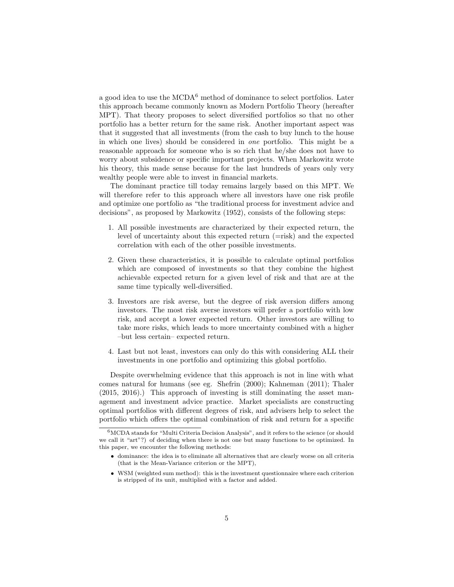<span id="page-4-1"></span>a good idea to use the  $\rm MCDA^6$  $\rm MCDA^6$  method of dominance to select portfolios. Later this approach became commonly known as Modern Portfolio Theory (hereafter MPT). That theory proposes to select diversified portfolios so that no other portfolio has a better return for the same risk. Another important aspect was that it suggested that all investments (from the cash to buy lunch to the house in which one lives) should be considered in one portfolio. This might be a reasonable approach for someone who is so rich that he/she does not have to worry about subsidence or specific important projects. When Markowitz wrote his theory, this made sense because for the last hundreds of years only very wealthy people were able to invest in financial markets.

The dominant practice till today remains largely based on this MPT. We will therefore refer to this approach where all investors have one risk profile and optimize one portfolio as "the traditional process for investment advice and decisions", as proposed by [Markowitz](#page-17-0) [\(1952\)](#page-17-0), consists of the following steps:

- 1. All possible investments are characterized by their expected return, the level of uncertainty about this expected return (=risk) and the expected correlation with each of the other possible investments.
- 2. Given these characteristics, it is possible to calculate optimal portfolios which are composed of investments so that they combine the highest achievable expected return for a given level of risk and that are at the same time typically well-diversified.
- 3. Investors are risk averse, but the degree of risk aversion differs among investors. The most risk averse investors will prefer a portfolio with low risk, and accept a lower expected return. Other investors are willing to take more risks, which leads to more uncertainty combined with a higher –but less certain– expected return.
- 4. Last but not least, investors can only do this with considering ALL their investments in one portfolio and optimizing this global portfolio.

Despite overwhelming evidence that this approach is not in line with what comes natural for humans (see eg. [Shefrin](#page-17-10) [\(2000\)](#page-17-10); [Kahneman](#page-17-11) [\(2011\)](#page-17-11); [Thaler](#page-18-2) [\(2015,](#page-18-2) [2016\)](#page-18-3).) This approach of investing is still dominating the asset management and investment advice practice. Market specialists are constructing optimal portfolios with different degrees of risk, and advisers help to select the portfolio which offers the optimal combination of risk and return for a specific

- dominance: the idea is to eliminate all alternatives that are clearly worse on all criteria (that is the Mean-Variance criterion or the MPT),
- WSM (weighted sum method): this is the investment questionnaire where each criterion is stripped of its unit, multiplied with a factor and added.

<span id="page-4-0"></span> $6MCDA$  stands for "Multi Criteria Decision Analysis", and it refers to the science (or should we call it "art"?) of deciding when there is not one but many functions to be optimized. In this paper, we encounter the following methods: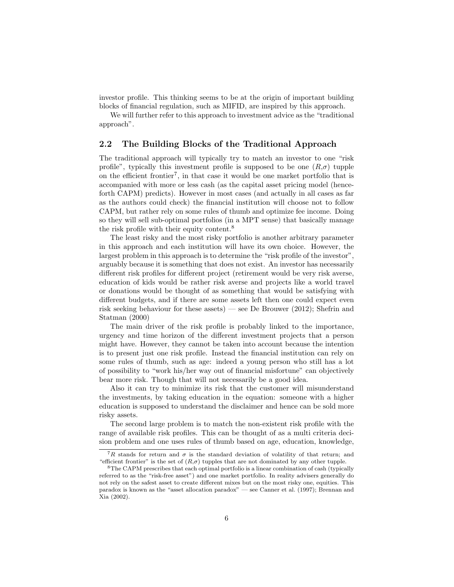<span id="page-5-3"></span>investor profile. This thinking seems to be at the origin of important building blocks of financial regulation, such as MIFID, are inspired by this approach.

We will further refer to this approach to investment advice as the "traditional approach".

#### <span id="page-5-0"></span>2.2 The Building Blocks of the Traditional Approach

The traditional approach will typically try to match an investor to one "risk profile", typically this investment profile is supposed to be one  $(R,\sigma)$  tupple on the efficient frontier[7](#page-5-1) , in that case it would be one market portfolio that is accompanied with more or less cash (as the capital asset pricing model (henceforth CAPM) predicts). However in most cases (and actually in all cases as far as the authors could check) the financial institution will choose not to follow CAPM, but rather rely on some rules of thumb and optimize fee income. Doing so they will sell sub-optimal portfolios (in a MPT sense) that basically manage the risk profile with their equity content.[8](#page-5-2)

The least risky and the most risky portfolio is another arbitrary parameter in this approach and each institution will have its own choice. However, the largest problem in this approach is to determine the "risk profile of the investor", arguably because it is something that does not exist. An investor has necessarily different risk profiles for different project (retirement would be very risk averse, education of kids would be rather risk averse and projects like a world travel or donations would be thought of as something that would be satisfying with different budgets, and if there are some assets left then one could expect even risk seeking behaviour for these assets) — see [De Brouwer](#page-17-6) [\(2012\)](#page-17-6); [Shefrin and](#page-18-4) [Statman](#page-18-4) [\(2000\)](#page-18-4)

The main driver of the risk profile is probably linked to the importance, urgency and time horizon of the different investment projects that a person might have. However, they cannot be taken into account because the intention is to present just one risk profile. Instead the financial institution can rely on some rules of thumb, such as age: indeed a young person who still has a lot of possibility to "work his/her way out of financial misfortune" can objectively bear more risk. Though that will not necessarily be a good idea.

Also it can try to minimize its risk that the customer will misunderstand the investments, by taking education in the equation: someone with a higher education is supposed to understand the disclaimer and hence can be sold more risky assets.

The second large problem is to match the non-existent risk profile with the range of available risk profiles. This can be thought of as a multi criteria decision problem and one uses rules of thumb based on age, education, knowledge,

<span id="page-5-1"></span><sup>&</sup>lt;sup>7</sup>R stands for return and  $\sigma$  is the standard deviation of volatility of that return; and "efficient frontier" is the set of  $(R,\sigma)$  tupples that are not dominated by any other tupple.

<span id="page-5-2"></span><sup>8</sup>The CAPM prescribes that each optimal portfolio is a linear combination of cash (typically referred to as the "risk-free asset") and one market portfolio. In reality advisers generally do not rely on the safest asset to create different mixes but on the most risky one, equities. This paradox is known as the "asset allocation paradox" — see [Canner et al.](#page-17-12) [\(1997\)](#page-17-12); [Brennan and](#page-17-13) [Xia](#page-17-13) [\(2002\)](#page-17-13).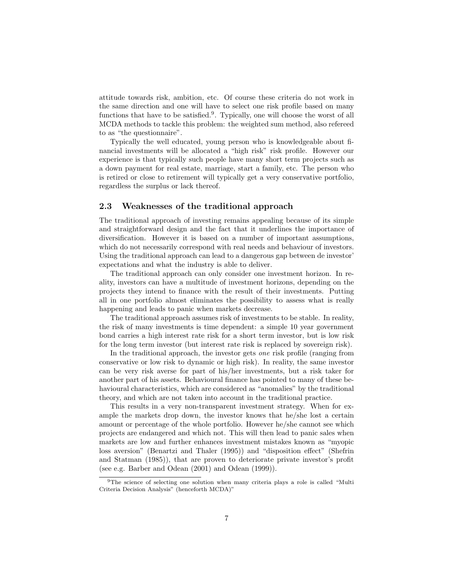<span id="page-6-2"></span>attitude towards risk, ambition, etc. Of course these criteria do not work in the same direction and one will have to select one risk profile based on many functions that have to be satisfied.<sup>[9](#page-6-1)</sup>. Typically, one will choose the worst of all MCDA methods to tackle this problem: the weighted sum method, also refereed to as "the questionnaire".

Typically the well educated, young person who is knowledgeable about financial investments will be allocated a "high risk" risk profile. However our experience is that typically such people have many short term projects such as a down payment for real estate, marriage, start a family, etc. The person who is retired or close to retirement will typically get a very conservative portfolio, regardless the surplus or lack thereof.

## <span id="page-6-0"></span>2.3 Weaknesses of the traditional approach

The traditional approach of investing remains appealing because of its simple and straightforward design and the fact that it underlines the importance of diversification. However it is based on a number of important assumptions, which do not necessarily correspond with real needs and behaviour of investors. Using the traditional approach can lead to a dangerous gap between de investor' expectations and what the industry is able to deliver.

The traditional approach can only consider one investment horizon. In reality, investors can have a multitude of investment horizons, depending on the projects they intend to finance with the result of their investments. Putting all in one portfolio almost eliminates the possibility to assess what is really happening and leads to panic when markets decrease.

The traditional approach assumes risk of investments to be stable. In reality, the risk of many investments is time dependent: a simple 10 year government bond carries a high interest rate risk for a short term investor, but is low risk for the long term investor (but interest rate risk is replaced by sovereign risk).

In the traditional approach, the investor gets one risk profile (ranging from conservative or low risk to dynamic or high risk). In reality, the same investor can be very risk averse for part of his/her investments, but a risk taker for another part of his assets. Behavioural finance has pointed to many of these behavioural characteristics, which are considered as "anomalies" by the traditional theory, and which are not taken into account in the traditional practice.

This results in a very non-transparent investment strategy. When for example the markets drop down, the investor knows that he/she lost a certain amount or percentage of the whole portfolio. However he/she cannot see which projects are endangered and which not. This will then lead to panic sales when markets are low and further enhances investment mistakes known as "myopic loss aversion" [\(Benartzi and Thaler](#page-16-3) [\(1995\)](#page-16-3)) and "disposition effect" [\(Shefrin](#page-17-14) [and Statman](#page-17-14) [\(1985\)](#page-17-14)), that are proven to deteriorate private investor's profit (see e.g. [Barber and Odean](#page-16-4) [\(2001\)](#page-16-4) and [Odean](#page-17-15) [\(1999\)](#page-17-15)).

<span id="page-6-1"></span><sup>&</sup>lt;sup>9</sup>The science of selecting one solution when many criteria plays a role is called "Multi Criteria Decision Analysis" (henceforth MCDA)"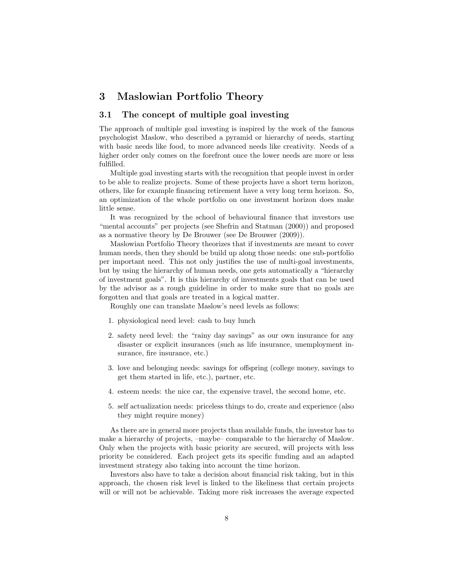# <span id="page-7-2"></span><span id="page-7-0"></span>3 Maslowian Portfolio Theory

## <span id="page-7-1"></span>3.1 The concept of multiple goal investing

The approach of multiple goal investing is inspired by the work of the famous psychologist Maslow, who described a pyramid or hierarchy of needs, starting with basic needs like food, to more advanced needs like creativity. Needs of a higher order only comes on the forefront once the lower needs are more or less fulfilled.

Multiple goal investing starts with the recognition that people invest in order to be able to realize projects. Some of these projects have a short term horizon, others, like for example financing retirement have a very long term horizon. So, an optimization of the whole portfolio on one investment horizon does make little sense.

It was recognized by the school of behavioural finance that investors use "mental accounts" per projects (see [Shefrin and Statman](#page-18-4) [\(2000\)](#page-18-4)) and proposed as a normative theory by [De Brouwer](#page-17-2) (see [De Brouwer](#page-17-2) [\(2009\)](#page-17-2)).

Maslowian Portfolio Theory theorizes that if investments are meant to cover human needs, then they should be build up along those needs: one sub-portfolio per important need. This not only justifies the use of multi-goal investments, but by using the hierarchy of human needs, one gets automatically a "hierarchy of investment goals". It is this hierarchy of investments goals that can be used by the advisor as a rough guideline in order to make sure that no goals are forgotten and that goals are treated in a logical matter.

Roughly one can translate Maslow's need levels as follows:

- 1. physiological need level: cash to buy lunch
- 2. safety need level: the "rainy day savings" as our own insurance for any disaster or explicit insurances (such as life insurance, unemployment insurance, fire insurance, etc.)
- 3. love and belonging needs: savings for offspring (college money, savings to get them started in life, etc.), partner, etc.
- 4. esteem needs: the nice car, the expensive travel, the second home, etc.
- 5. self actualization needs: priceless things to do, create and experience (also they might require money)

As there are in general more projects than available funds, the investor has to make a hierarchy of projects, –maybe– comparable to the hierarchy of Maslow. Only when the projects with basic priority are secured, will projects with less priority be considered. Each project gets its specific funding and an adapted investment strategy also taking into account the time horizon.

Investors also have to take a decision about financial risk taking, but in this approach, the chosen risk level is linked to the likeliness that certain projects will or will not be achievable. Taking more risk increases the average expected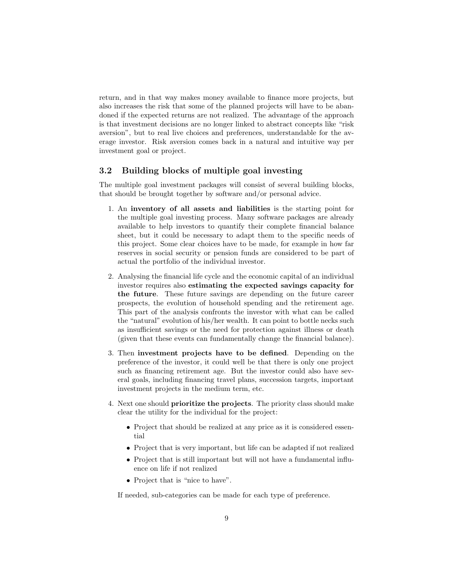return, and in that way makes money available to finance more projects, but also increases the risk that some of the planned projects will have to be abandoned if the expected returns are not realized. The advantage of the approach is that investment decisions are no longer linked to abstract concepts like "risk aversion", but to real live choices and preferences, understandable for the average investor. Risk aversion comes back in a natural and intuitive way per investment goal or project.

## <span id="page-8-0"></span>3.2 Building blocks of multiple goal investing

The multiple goal investment packages will consist of several building blocks, that should be brought together by software and/or personal advice.

- 1. An inventory of all assets and liabilities is the starting point for the multiple goal investing process. Many software packages are already available to help investors to quantify their complete financial balance sheet, but it could be necessary to adapt them to the specific needs of this project. Some clear choices have to be made, for example in how far reserves in social security or pension funds are considered to be part of actual the portfolio of the individual investor.
- 2. Analysing the financial life cycle and the economic capital of an individual investor requires also estimating the expected savings capacity for the future. These future savings are depending on the future career prospects, the evolution of household spending and the retirement age. This part of the analysis confronts the investor with what can be called the "natural" evolution of his/her wealth. It can point to bottle necks such as insufficient savings or the need for protection against illness or death (given that these events can fundamentally change the financial balance).
- 3. Then investment projects have to be defined. Depending on the preference of the investor, it could well be that there is only one project such as financing retirement age. But the investor could also have several goals, including financing travel plans, succession targets, important investment projects in the medium term, etc.
- 4. Next one should prioritize the projects. The priority class should make clear the utility for the individual for the project:
	- Project that should be realized at any price as it is considered essential
	- Project that is very important, but life can be adapted if not realized
	- Project that is still important but will not have a fundamental influence on life if not realized
	- Project that is "nice to have".

If needed, sub-categories can be made for each type of preference.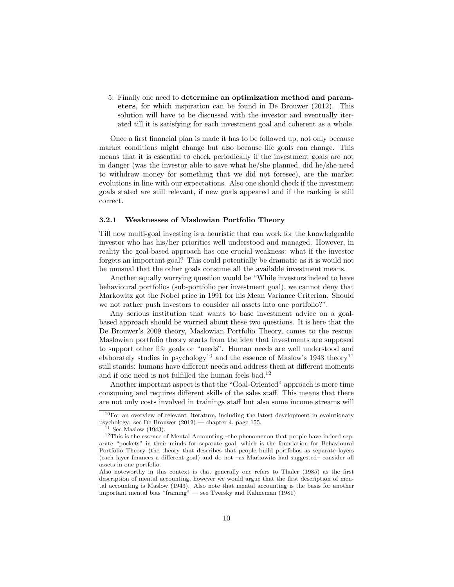<span id="page-9-4"></span>5. Finally one need to determine an optimization method and parameters, for which inspiration can be found in [De Brouwer](#page-17-6) [\(2012\)](#page-17-6). This solution will have to be discussed with the investor and eventually iterated till it is satisfying for each investment goal and coherent as a whole.

Once a first financial plan is made it has to be followed up, not only because market conditions might change but also because life goals can change. This means that it is essential to check periodically if the investment goals are not in danger (was the investor able to save what he/she planned, did he/she need to withdraw money for something that we did not foresee), are the market evolutions in line with our expectations. Also one should check if the investment goals stated are still relevant, if new goals appeared and if the ranking is still correct.

#### <span id="page-9-0"></span>3.2.1 Weaknesses of Maslowian Portfolio Theory

Till now multi-goal investing is a heuristic that can work for the knowledgeable investor who has his/her priorities well understood and managed. However, in reality the goal-based approach has one crucial weakness: what if the investor forgets an important goal? This could potentially be dramatic as it is would not be unusual that the other goals consume all the available investment means.

Another equally worrying question would be "While investors indeed to have behavioural portfolios (sub-portfolio per investment goal), we cannot deny that Markowitz got the Nobel price in 1991 for his Mean Variance Criterion. Should we not rather push investors to consider all assets into one portfolio?".

Any serious institution that wants to base investment advice on a goalbased approach should be worried about these two questions. It is here that the De Brouwer's 2009 theory, Maslowian Portfolio Theory, comes to the rescue. Maslowian portfolio theory starts from the idea that investments are supposed to support other life goals or "needs". Human needs are well understood and elaborately studies in psychology<sup>[10](#page-9-1)</sup> and the essence of Maslow's 1943 theory<sup>[11](#page-9-2)</sup> still stands: humans have different needs and address them at different moments and if one need is not fulfilled the human feels bad.<sup>[12](#page-9-3)</sup>

Another important aspect is that the "Goal-Oriented" approach is more time consuming and requires different skills of the sales staff. This means that there are not only costs involved in trainings staff but also some income streams will

<span id="page-9-1"></span> $10$  For an overview of relevant literature, including the latest development in evolutionary psychology: see [De Brouwer](#page-17-6) [\(2012\)](#page-17-6) — chapter 4, page 155.

<span id="page-9-3"></span><span id="page-9-2"></span> $11$  See [Maslow](#page-17-3) [\(1943\)](#page-17-3).

<sup>&</sup>lt;sup>12</sup>This is the essence of Mental Accounting –the phenomenon that people have indeed separate "pockets" in their minds for separate goal, which is the foundation for Behavioural Portfolio Theory (the theory that describes that people build portfolios as separate layers (each layer finances a different goal) and do not –as Markowitz had suggested– consider all assets in one portfolio.

Also noteworthy in this context is that generally one refers to [Thaler](#page-18-5) [\(1985\)](#page-18-5) as the first description of mental accounting, however we would argue that the first description of mental accounting is [Maslow](#page-17-3) [\(1943\)](#page-17-3). Also note that mental accounting is the basis for another important mental bias "framing" — see [Tversky and Kahneman](#page-18-6) [\(1981\)](#page-18-6)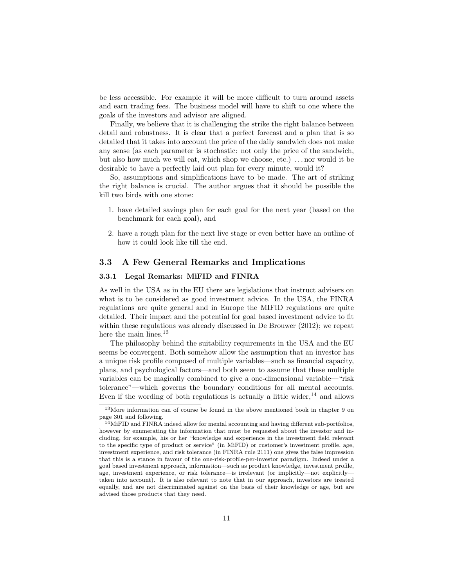<span id="page-10-4"></span>be less accessible. For example it will be more difficult to turn around assets and earn trading fees. The business model will have to shift to one where the goals of the investors and advisor are aligned.

Finally, we believe that it is challenging the strike the right balance between detail and robustness. It is clear that a perfect forecast and a plan that is so detailed that it takes into account the price of the daily sandwich does not make any sense (as each parameter is stochastic: not only the price of the sandwich, but also how much we will eat, which shop we choose, etc.) . . . nor would it be desirable to have a perfectly laid out plan for every minute, would it?

So, assumptions and simplifications have to be made. The art of striking the right balance is crucial. The author argues that it should be possible the kill two birds with one stone:

- 1. have detailed savings plan for each goal for the next year (based on the benchmark for each goal), and
- 2. have a rough plan for the next live stage or even better have an outline of how it could look like till the end.

## <span id="page-10-0"></span>3.3 A Few General Remarks and Implications

## <span id="page-10-1"></span>3.3.1 Legal Remarks: MiFID and FINRA

As well in the USA as in the EU there are legislations that instruct advisers on what is to be considered as good investment advice. In the USA, the FINRA regulations are quite general and in Europe the MIFID regulations are quite detailed. Their impact and the potential for goal based investment advice to fit within these regulations was already discussed in [De Brouwer](#page-17-6) [\(2012\)](#page-17-6); we repeat here the main lines.<sup>[13](#page-10-2)</sup>

The philosophy behind the suitability requirements in the USA and the EU seems be convergent. Both somehow allow the assumption that an investor has a unique risk profile composed of multiple variables—such as financial capacity, plans, and psychological factors—and both seem to assume that these multiple variables can be magically combined to give a one-dimensional variable—"risk tolerance"—which governs the boundary conditions for all mental accounts. Even if the wording of both regulations is actually a little wider,  $^{14}$  $^{14}$  $^{14}$  and allows

<span id="page-10-2"></span><sup>13</sup>More information can of course be found in the above mentioned book in chapter 9 on page 301 and following.

<span id="page-10-3"></span><sup>14</sup>MiFID and FINRA indeed allow for mental accounting and having different sub-portfolios, however by enumerating the information that must be requested about the investor and including, for example, his or her "knowledge and experience in the investment field relevant to the specific type of product or service" (in MiFID) or customer's investment profile, age, investment experience, and risk tolerance (in FINRA rule 2111) one gives the false impression that this is a stance in favour of the one-risk-profile-per-investor paradigm. Indeed under a goal based investment approach, information—such as product knowledge, investment profile, age, investment experience, or risk tolerance—is irrelevant (or implicitly—not explicitly taken into account). It is also relevant to note that in our approach, investors are treated equally, and are not discriminated against on the basis of their knowledge or age, but are advised those products that they need.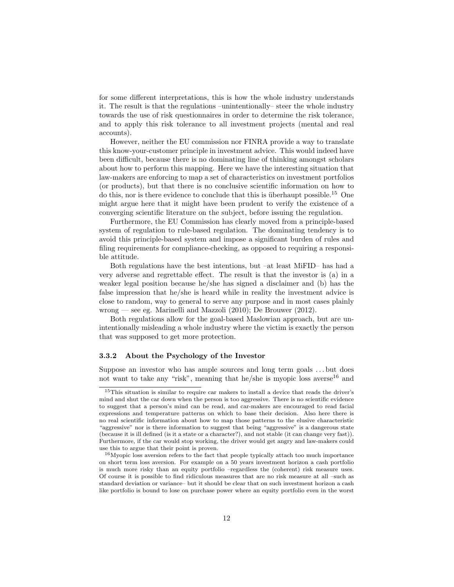<span id="page-11-3"></span>for some different interpretations, this is how the whole industry understands it. The result is that the regulations –unintentionally– steer the whole industry towards the use of risk questionnaires in order to determine the risk tolerance, and to apply this risk tolerance to all investment projects (mental and real accounts).

However, neither the EU commission nor FINRA provide a way to translate this know-your-customer principle in investment advice. This would indeed have been difficult, because there is no dominating line of thinking amongst scholars about how to perform this mapping. Here we have the interesting situation that law-makers are enforcing to map a set of characteristics on investment portfolios (or products), but that there is no conclusive scientific information on how to do this, nor is there evidence to conclude that this is überhaupt possible.<sup>[15](#page-11-1)</sup> One might argue here that it might have been prudent to verify the existence of a converging scientific literature on the subject, before issuing the regulation.

Furthermore, the EU Commission has clearly moved from a principle-based system of regulation to rule-based regulation. The dominating tendency is to avoid this principle-based system and impose a significant burden of rules and filing requirements for compliance-checking, as opposed to requiring a responsible attitude.

Both regulations have the best intentions, but –at least MiFID– has had a very adverse and regrettable effect. The result is that the investor is (a) in a weaker legal position because he/she has signed a disclaimer and (b) has the false impression that he/she is heard while in reality the investment advice is close to random, way to general to serve any purpose and in most cases plainly wrong — see eg. [Marinelli and Mazzoli](#page-17-1) [\(2010\)](#page-17-1); [De Brouwer](#page-17-6) [\(2012\)](#page-17-6).

Both regulations allow for the goal-based Maslowian approach, but are unintentionally misleading a whole industry where the victim is exactly the person that was supposed to get more protection.

#### <span id="page-11-0"></span>3.3.2 About the Psychology of the Investor

Suppose an investor who has ample sources and long term goals . . . but does not want to take any "risk", meaning that he/she is myopic loss averse<sup>[16](#page-11-2)</sup> and

<span id="page-11-1"></span><sup>15</sup>This situation is similar to require car makers to install a device that reads the driver's mind and shut the car down when the person is too aggressive. There is no scientific evidence to suggest that a person's mind can be read, and car-makers are encouraged to read facial expressions and temperature patterns on which to base their decision. Also here there is no real scientific information about how to map those patterns to the elusive characteristic "aggressive" nor is there information to suggest that being "aggressive" is a dangerous state (because it is ill defined (is it a state or a character?), and not stable (it can change very fast)). Furthermore, if the car would stop working, the driver would get angry and law-makers could use this to argue that their point is proven.

<span id="page-11-2"></span><sup>16</sup>Myopic loss aversion refers to the fact that people typically attach too much importance on short term loss aversion. For example on a 50 years investment horizon a cash portfolio is much more risky than an equity portfolio –regardless the (coherent) risk measure uses. Of course it is possible to find ridiculous measures that are no risk measure at all –such as standard deviation or variance– but it should be clear that on such investment horizon a cash like portfolio is bound to lose on purchase power where an equity portfolio even in the worst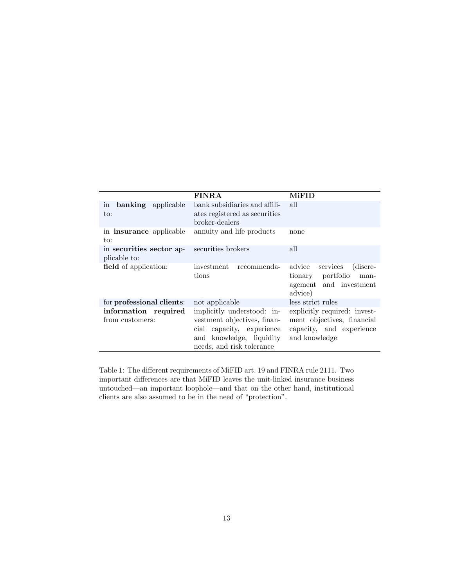|                                          | <b>FINRA</b>                                                                                                                                    | <b>MiFID</b>                                                                                            |
|------------------------------------------|-------------------------------------------------------------------------------------------------------------------------------------------------|---------------------------------------------------------------------------------------------------------|
| in<br>banking applicable<br>to:          | bank subsidiaries and affili-<br>ates registered as securities<br>broker-dealers                                                                | all                                                                                                     |
| in <b>insurance</b> applicable<br>to:    | annuity and life products                                                                                                                       | none                                                                                                    |
| in securities sector ap-<br>plicable to: | securities brokers                                                                                                                              | all                                                                                                     |
| field of application:                    | investment<br>recommenda-<br>tions                                                                                                              | (discre-<br>advice<br>services<br>tionary portfolio<br>man-<br>agement and investment<br>advice)        |
| for professional clients:                | not applicable                                                                                                                                  | less strict rules                                                                                       |
| information required<br>from customers:  | implicitly understood: in-<br>vestment objectives, finan-<br>cial capacity, experience<br>and knowledge, liquidity<br>needs, and risk tolerance | explicitly required: invest-<br>ment objectives, financial<br>capacity, and experience<br>and knowledge |

Table 1: The different requirements of MiFID art. 19 and FINRA rule 2111. Two important differences are that MiFID leaves the unit-linked insurance business untouched—an important loophole—and that on the other hand, institutional clients are also assumed to be in the need of "protection".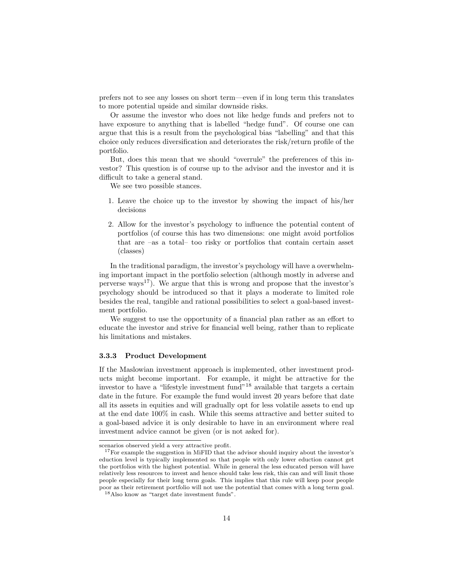prefers not to see any losses on short term—even if in long term this translates to more potential upside and similar downside risks.

Or assume the investor who does not like hedge funds and prefers not to have exposure to anything that is labelled "hedge fund". Of course one can argue that this is a result from the psychological bias "labelling" and that this choice only reduces diversification and deteriorates the risk/return profile of the portfolio.

But, does this mean that we should "overrule" the preferences of this investor? This question is of course up to the advisor and the investor and it is difficult to take a general stand.

We see two possible stances.

- 1. Leave the choice up to the investor by showing the impact of his/her decisions
- 2. Allow for the investor's psychology to influence the potential content of portfolios (of course this has two dimensions: one might avoid portfolios that are –as a total– too risky or portfolios that contain certain asset (classes)

In the traditional paradigm, the investor's psychology will have a overwhelming important impact in the portfolio selection (although mostly in adverse and perverse ways<sup>[17](#page-13-1)</sup>). We argue that this is wrong and propose that the investor's psychology should be introduced so that it plays a moderate to limited role besides the real, tangible and rational possibilities to select a goal-based investment portfolio.

We suggest to use the opportunity of a financial plan rather as an effort to educate the investor and strive for financial well being, rather than to replicate his limitations and mistakes.

#### <span id="page-13-0"></span>3.3.3 Product Development

If the Maslowian investment approach is implemented, other investment products might become important. For example, it might be attractive for the investor to have a "lifestyle investment fund"[18](#page-13-2) available that targets a certain date in the future. For example the fund would invest 20 years before that date all its assets in equities and will gradually opt for less volatile assets to end up at the end date 100% in cash. While this seems attractive and better suited to a goal-based advice it is only desirable to have in an environment where real investment advice cannot be given (or is not asked for).

scenarios observed yield a very attractive profit.

<span id="page-13-1"></span><sup>&</sup>lt;sup>17</sup>For example the suggestion in MiFID that the advisor should inquiry about the investor's eduction level is typically implemented so that people with only lower eduction cannot get the portfolios with the highest potential. While in general the less educated person will have relatively less resources to invest and hence should take less risk, this can and will limit those people especially for their long term goals. This implies that this rule will keep poor people poor as their retirement portfolio will not use the potential that comes with a long term goal.

<span id="page-13-2"></span><sup>18</sup>Also know as "target date investment funds".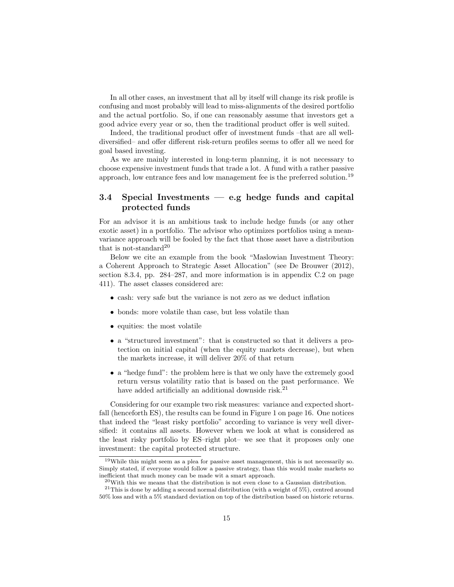<span id="page-14-4"></span>In all other cases, an investment that all by itself will change its risk profile is confusing and most probably will lead to miss-alignments of the desired portfolio and the actual portfolio. So, if one can reasonably assume that investors get a good advice every year or so, then the traditional product offer is well suited.

Indeed, the traditional product offer of investment funds –that are all welldiversified– and offer different risk-return profiles seems to offer all we need for goal based investing.

As we are mainly interested in long-term planning, it is not necessary to choose expensive investment funds that trade a lot. A fund with a rather passive approach, low entrance fees and low management fee is the preferred solution.[19](#page-14-1)

## <span id="page-14-0"></span>3.4 Special Investments — e.g hedge funds and capital protected funds

For an advisor it is an ambitious task to include hedge funds (or any other exotic asset) in a portfolio. The advisor who optimizes portfolios using a meanvariance approach will be fooled by the fact that those asset have a distribution that is not-standard<sup>[20](#page-14-2)</sup>

Below we cite an example from the book "Maslowian Investment Theory: a Coherent Approach to Strategic Asset Allocation" (see [De Brouwer](#page-17-6) [\(2012\)](#page-17-6), section 8.3.4, pp. 284–287, and more information is in appendix C.2 on page 411). The asset classes considered are:

- cash: very safe but the variance is not zero as we deduct inflation
- bonds: more volatile than case, but less volatile than
- equities: the most volatile
- a "structured investment": that is constructed so that it delivers a protection on initial capital (when the equity markets decrease), but when the markets increase, it will deliver 20% of that return
- a "hedge fund": the problem here is that we only have the extremely good return versus volatility ratio that is based on the past performance. We have added artificially an additional downside risk.<sup>[21](#page-14-3)</sup>

Considering for our example two risk measures: variance and expected shortfall (henceforth ES), the results can be found in Figure [1](#page-15-1) on page [16.](#page-15-1) One notices that indeed the "least risky portfolio" according to variance is very well diversified: it contains all assets. However when we look at what is considered as the least risky portfolio by ES–right plot– we see that it proposes only one investment: the capital protected structure.

<span id="page-14-1"></span> $19$ While this might seem as a plea for passive asset management, this is not necessarily so. Simply stated, if everyone would follow a passive strategy, than this would make markets so inefficient that much money can be made wit a smart approach.

<span id="page-14-3"></span><span id="page-14-2"></span> $^{20}$ With this we means that the distribution is not even close to a Gaussian distribution.

<sup>&</sup>lt;sup>21</sup>This is done by adding a second normal distribution (with a weight of 5%), centred around 50% loss and with a 5% standard deviation on top of the distribution based on historic returns.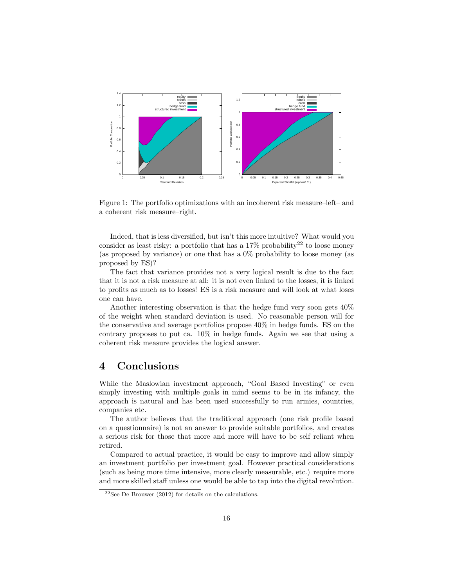<span id="page-15-3"></span><span id="page-15-1"></span>

Figure 1: The portfolio optimizations with an incoherent risk measure–left– and a coherent risk measure–right.

Indeed, that is less diversified, but isn't this more intuitive? What would you consider as least risky: a portfolio that has a  $17\%$  probability<sup>[22](#page-15-2)</sup> to loose money (as proposed by variance) or one that has a 0% probability to loose money (as proposed by ES)?

The fact that variance provides not a very logical result is due to the fact that it is not a risk measure at all: it is not even linked to the losses, it is linked to profits as much as to losses! ES is a risk measure and will look at what loses one can have.

Another interesting observation is that the hedge fund very soon gets 40% of the weight when standard deviation is used. No reasonable person will for the conservative and average portfolios propose 40% in hedge funds. ES on the contrary proposes to put ca. 10% in hedge funds. Again we see that using a coherent risk measure provides the logical answer.

# <span id="page-15-0"></span>4 Conclusions

While the Maslowian investment approach, "Goal Based Investing" or even simply investing with multiple goals in mind seems to be in its infancy, the approach is natural and has been used successfully to run armies, countries, companies etc.

The author believes that the traditional approach (one risk profile based on a questionnaire) is not an answer to provide suitable portfolios, and creates a serious risk for those that more and more will have to be self reliant when retired.

Compared to actual practice, it would be easy to improve and allow simply an investment portfolio per investment goal. However practical considerations (such as being more time intensive, more clearly measurable, etc.) require more and more skilled staff unless one would be able to tap into the digital revolution.

<span id="page-15-2"></span> $22$ See [De Brouwer](#page-17-6) [\(2012\)](#page-17-6) for details on the calculations.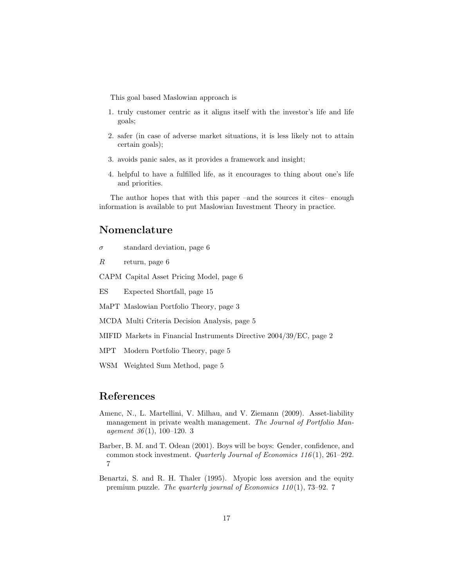This goal based Maslowian approach is

- 1. truly customer centric as it aligns itself with the investor's life and life goals;
- 2. safer (in case of adverse market situations, it is less likely not to attain certain goals);
- 3. avoids panic sales, as it provides a framework and insight;
- 4. helpful to have a fulfilled life, as it encourages to thing about one's life and priorities.

The author hopes that with this paper –and the sources it cites– enough information is available to put Maslowian Investment Theory in practice.

# <span id="page-16-0"></span>Nomenclature

 $\sigma$  standard deviation, page 6

 $R$  return, page 6

CAPM Capital Asset Pricing Model, page 6

ES Expected Shortfall, page 15

MaPT Maslowian Portfolio Theory, page 3

MCDA Multi Criteria Decision Analysis, page 5

MIFID Markets in Financial Instruments Directive 2004/39/EC, page 2

- MPT Modern Portfolio Theory, page 5
- <span id="page-16-1"></span>WSM Weighted Sum Method, page 5

# References

- <span id="page-16-2"></span>Amenc, N., L. Martellini, V. Milhau, and V. Ziemann (2009). Asset-liability management in private wealth management. The Journal of Portfolio Management  $36(1)$  $36(1)$ , 100-120. 3
- <span id="page-16-4"></span>Barber, B. M. and T. Odean (2001). Boys will be boys: Gender, confidence, and common stock investment. Quarterly Journal of Economics 116(1), 261–292. [7](#page-6-2)
- <span id="page-16-3"></span>Benartzi, S. and R. H. Thaler (1995). Myopic loss aversion and the equity premium puzzle. The quarterly journal of Economics  $110(1)$ , [7](#page-6-2)3-92. 7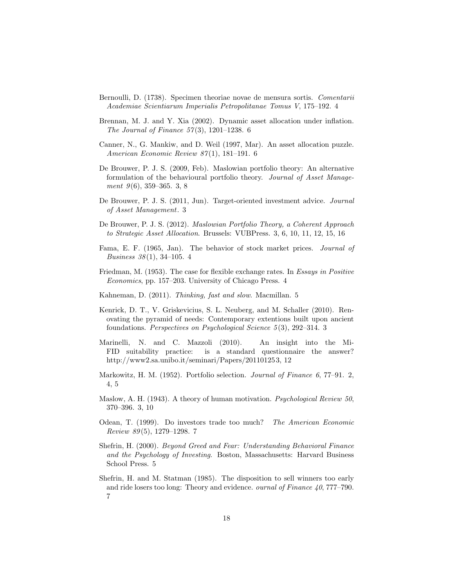- <span id="page-17-7"></span>Bernoulli, D. (1738). Specimen theoriae novae de mensura sortis. Comentarii Academiae Scientiarum Imperialis Petropolitanae Tomus V, 175–192. [4](#page-3-4)
- <span id="page-17-13"></span>Brennan, M. J. and Y. Xia (2002). Dynamic asset allocation under inflation. The Journal of Finance  $57(3)$ , 1201–1238. [6](#page-5-3)
- <span id="page-17-12"></span>Canner, N., G. Mankiw, and D. Weil (1997, Mar). An asset allocation puzzle. American Economic Review 87 (1), 181–191. [6](#page-5-3)
- <span id="page-17-2"></span>De Brouwer, P. J. S. (2009, Feb). Maslowian portfolio theory: An alternative formulation of the behavioural portfolio theory. Journal of Asset Management  $9(6)$ , 359–365. [3,](#page-2-2) [8](#page-7-2)
- <span id="page-17-5"></span>De Brouwer, P. J. S. (2011, Jun). Target-oriented investment advice. Journal of Asset Management. [3](#page-2-2)
- <span id="page-17-6"></span>De Brouwer, P. J. S. (2012). Maslowian Portfolio Theory, a Coherent Approach to Strategic Asset Allocation. Brussels: VUBPress. [3,](#page-2-2) [6,](#page-5-3) [10,](#page-9-4) [11,](#page-10-4) [12,](#page-11-3) [15,](#page-14-4) [16](#page-15-3)
- <span id="page-17-8"></span>Fama, E. F. (1965, Jan). The behavior of stock market prices. Journal of *Business*  $38(1)$ , 3[4](#page-3-4)-105. 4
- <span id="page-17-9"></span>Friedman, M. (1953). The case for flexible exchange rates. In Essays in Positive Economics, pp. 157–203. University of Chicago Press. [4](#page-3-4)
- <span id="page-17-11"></span>Kahneman, D. (2011). Thinking, fast and slow. Macmillan. [5](#page-4-1)
- <span id="page-17-4"></span>Kenrick, D. T., V. Griskevicius, S. L. Neuberg, and M. Schaller (2010). Renovating the pyramid of needs: Contemporary extentions built upon ancient foundations. Perspectives on Psychological Science 5 (3), 292–314. [3](#page-2-2)
- <span id="page-17-1"></span>Marinelli, N. and C. Mazzoli (2010). An insight into the Mi-FID suitability practice: is a standard questionnaire the answer? http://www2.sa.unibo.it/seminari/Papers/20110125[3,](#page-2-2) [12](#page-11-3)
- <span id="page-17-0"></span>Markowitz, H. M. (1952). Portfolio selection. Journal of Finance 6, 77–91. [2,](#page-1-2) [4,](#page-3-4) [5](#page-4-1)
- <span id="page-17-3"></span>Maslow, A. H. (1943). A theory of human motivation. *Psychological Review 50*, 370–396. [3,](#page-2-2) [10](#page-9-4)
- <span id="page-17-15"></span>Odean, T. (1999). Do investors trade too much? The American Economic Review 89 (5), 1279–1298. [7](#page-6-2)
- <span id="page-17-10"></span>Shefrin, H. (2000). Beyond Greed and Fear: Understanding Behavioral Finance and the Psychology of Investing. Boston, Massachusetts: Harvard Business School Press. [5](#page-4-1)
- <span id="page-17-14"></span>Shefrin, H. and M. Statman (1985). The disposition to sell winners too early and ride losers too long: Theory and evidence. ournal of Finance 40, 777–790. [7](#page-6-2)